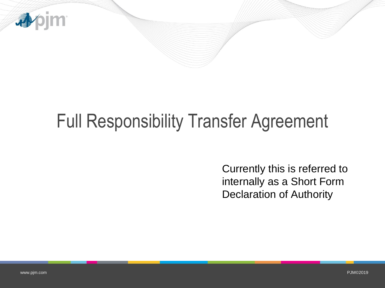

## Full Responsibility Transfer Agreement

Currently this is referred to internally as a Short Form Declaration of Authority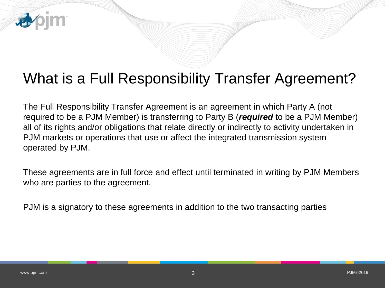

The Full Responsibility Transfer Agreement is an agreement in which Party A (not required to be a PJM Member) is transferring to Party B (*required* to be a PJM Member) all of its rights and/or obligations that relate directly or indirectly to activity undertaken in PJM markets or operations that use or affect the integrated transmission system operated by PJM.

These agreements are in full force and effect until terminated in writing by PJM Members who are parties to the agreement.

PJM is a signatory to these agreements in addition to the two transacting parties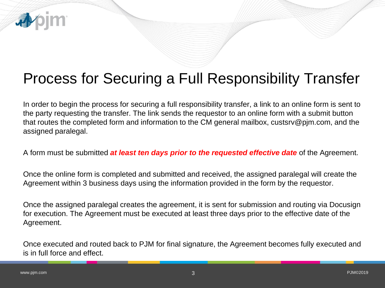

In order to begin the process for securing a full responsibility transfer, a link to an online form is sent to the party requesting the transfer. The link sends the requestor to an online form with a submit button that routes the completed form and information to the CM general mailbox, custsrv@pjm.com, and the assigned paralegal.

A form must be submitted *at least ten days prior to the requested effective date* of the Agreement.

Once the online form is completed and submitted and received, the assigned paralegal will create the Agreement within 3 business days using the information provided in the form by the requestor.

Once the assigned paralegal creates the agreement, it is sent for submission and routing via Docusign for execution. The Agreement must be executed at least three days prior to the effective date of the Agreement.

Once executed and routed back to PJM for final signature, the Agreement becomes fully executed and is in full force and effect.